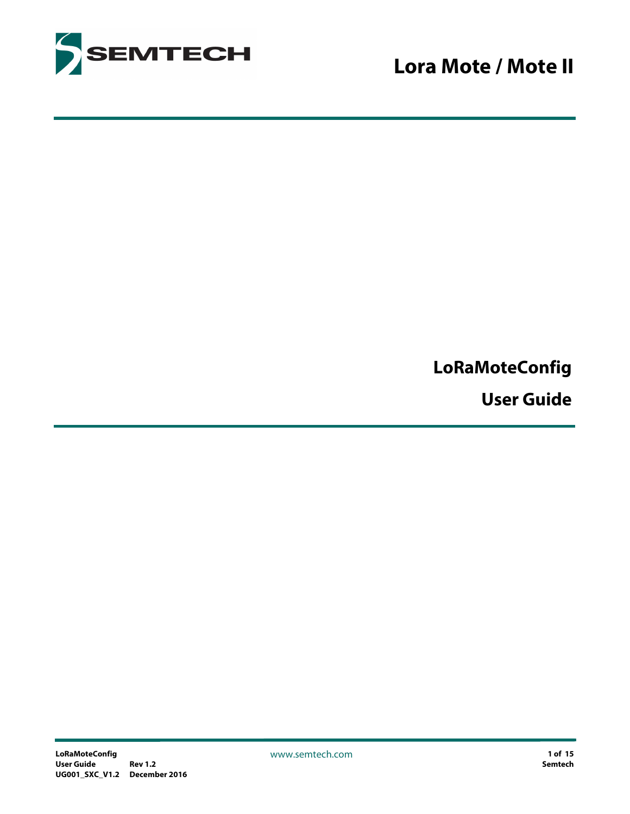

## **LoRaMoteConfig**

**User Guide**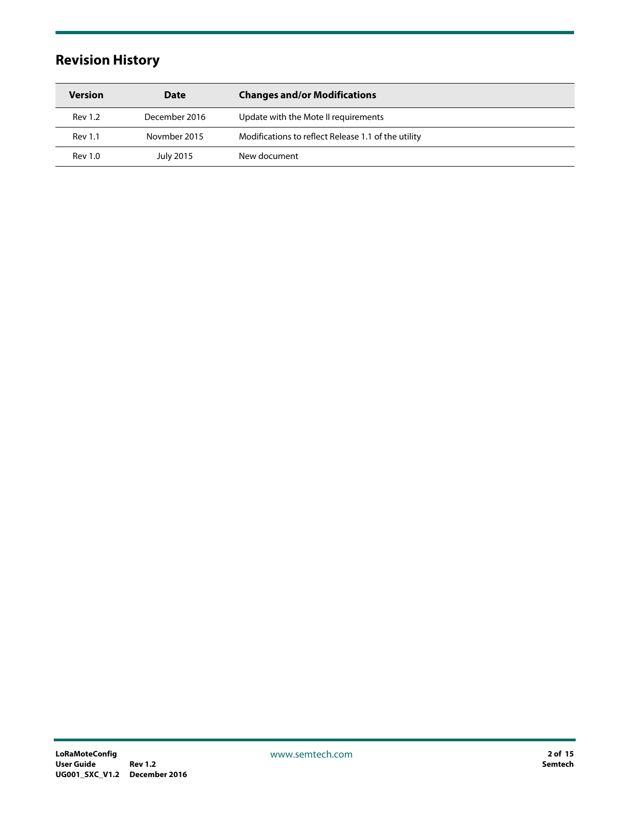### <span id="page-1-0"></span>**Revision History**

| <b>Version</b> | Date          | <b>Changes and/or Modifications</b>                 |
|----------------|---------------|-----------------------------------------------------|
| <b>Rev 1.2</b> | December 2016 | Update with the Mote II requirements                |
| <b>Rev 1.1</b> | Novmber 2015  | Modifications to reflect Release 1.1 of the utility |
| <b>Rev 1.0</b> | July 2015     | New document                                        |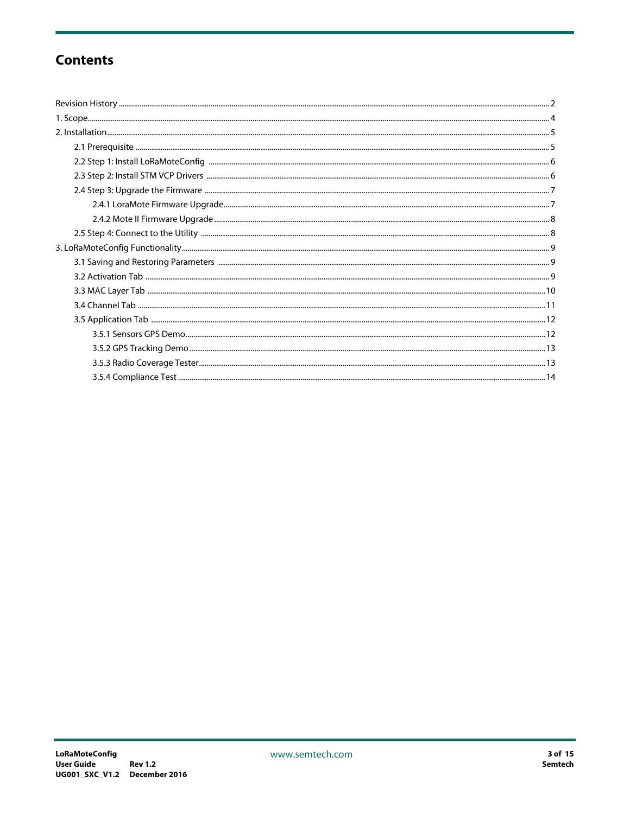### **Contents**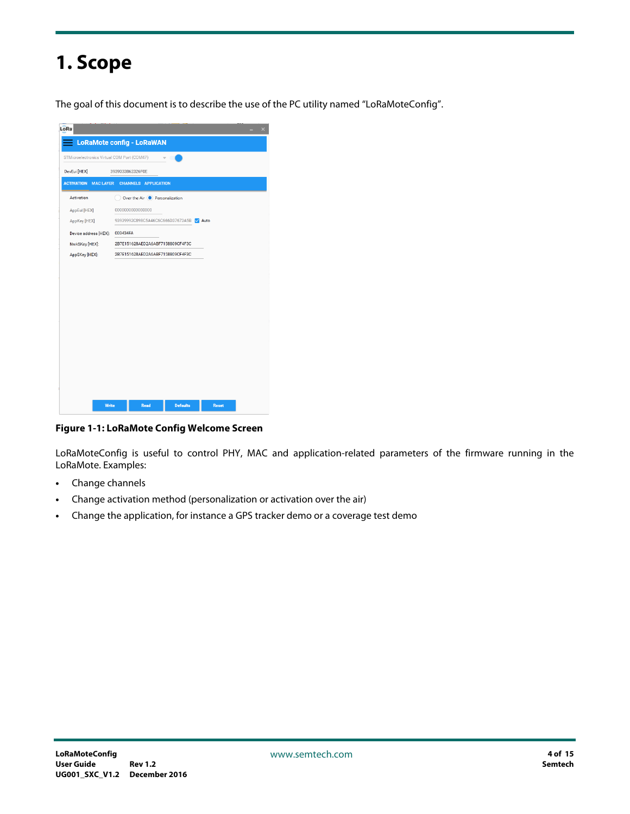# <span id="page-3-0"></span>**1. Scope**

The goal of this document is to describe the use of the PC utility named "LoRaMoteConfig".

| LoRa                                        |                                                  |                 |              |  |
|---------------------------------------------|--------------------------------------------------|-----------------|--------------|--|
|                                             | <b>LoRaMote config - LoRaWAN</b>                 |                 |              |  |
| STMicroelectronics Virtual COM Port (COM47) |                                                  |                 |              |  |
| DevEui [HEX]                                | 3939333862326F0E                                 |                 |              |  |
|                                             | <b>ACTIVATION MAC LAYER CHANNELS APPLICATION</b> |                 |              |  |
| Activation                                  | Over the Air C Personalization                   |                 |              |  |
| AppEui [HEX]                                | 0000000000000000                                 |                 |              |  |
| AppKey [HEX]                                | 93939992C898C5A46C6C666D37673A5B ZAuto           |                 |              |  |
| Device address [HEX]: 003434FA              |                                                  |                 |              |  |
| NwkSKey [HEX]:                              | 2B7E151628AED2A6ABF7158809CF4F3C                 |                 |              |  |
| AppSKey [HEX]:                              | 2B7E151628AED2A6ABF7158809CF4F3C                 |                 |              |  |
|                                             |                                                  |                 |              |  |
|                                             |                                                  |                 |              |  |
| Write                                       | <b>Read</b>                                      | <b>Defaults</b> | <b>Reset</b> |  |

**Figure 1-1: LoRaMote Config Welcome Screen**

LoRaMoteConfig is useful to control PHY, MAC and application-related parameters of the firmware running in the LoRaMote. Examples:

- **•** Change channels
- **•** Change activation method (personalization or activation over the air)
- **•** Change the application, for instance a GPS tracker demo or a coverage test demo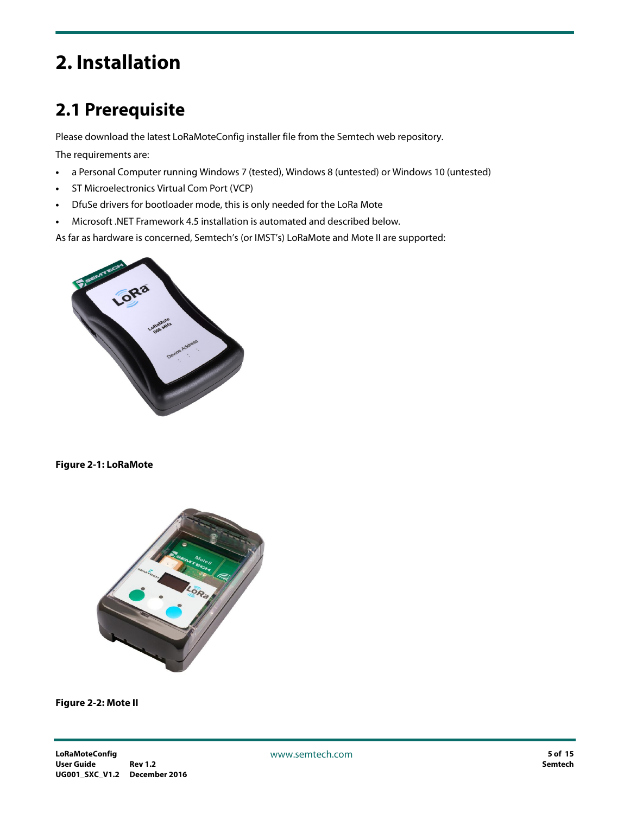# <span id="page-4-0"></span>**2. Installation**

## <span id="page-4-1"></span>**2.1 Prerequisite**

Please download the latest LoRaMoteConfig installer file from the Semtech web repository.

The requirements are:

- **•** a Personal Computer running Windows 7 (tested), Windows 8 (untested) or Windows 10 (untested)
- **•** ST Microelectronics Virtual Com Port (VCP)
- **•** DfuSe drivers for bootloader mode, this is only needed for the LoRa Mote
- **•** Microsoft .NET Framework 4.5 installation is automated and described below.

As far as hardware is concerned, Semtech's (or IMST's) LoRaMote and Mote II are supported:



#### **Figure 2-1: LoRaMote**



**Figure 2-2: Mote II**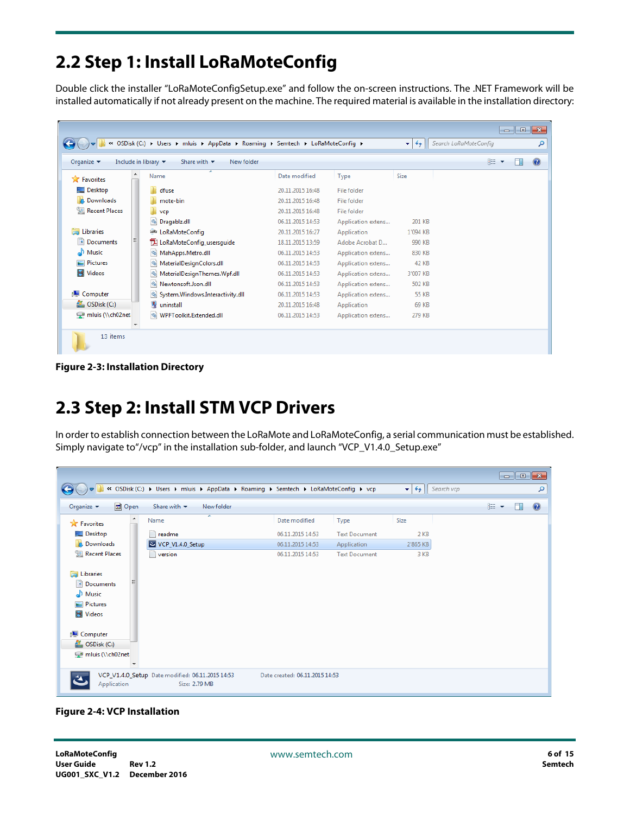## <span id="page-5-0"></span>**2.2 Step 1: Install LoRaMoteConfig**

Double click the installer "LoRaMoteConfigSetup.exe" and follow the on-screen instructions. The .NET Framework will be installed automatically if not already present on the machine. The required material is available in the installation directory:

| $\ll$                         | OSDisk (C:) ▶ Users ▶ mluis ▶ AppData ▶ Roaming ▶ Semtech ▶ LoRaMoteConfig ▶             |                  |                    | $\bullet$<br>$++$ | Search LoRaMoteConfig | $\Box$<br>- 1 | $\ x\ $<br>م |
|-------------------------------|------------------------------------------------------------------------------------------|------------------|--------------------|-------------------|-----------------------|---------------|--------------|
| Organize $\blacktriangledown$ | Include in library $\blacktriangledown$<br>New folder<br>Share with $\blacktriangledown$ |                  |                    |                   | #三 ▼                  |               | $\mathbf Q$  |
| <b>The Favorites</b>          | ≖<br>Name                                                                                | Date modified    | Type               | Size              |                       |               |              |
| Desktop                       | dfuse                                                                                    | 20.11.2015 16:48 | File folder        |                   |                       |               |              |
| Jń.<br>Downloads              | mote-bin                                                                                 | 20.11.2015 16:48 | File folder        |                   |                       |               |              |
| 鹽<br><b>Recent Places</b>     | vcp                                                                                      | 20.11.2015 16:48 | <b>File folder</b> |                   |                       |               |              |
|                               | S Dragablz.dll                                                                           | 06.11.2015 14:53 | Application extens | 201 KB            |                       |               |              |
| Libraries                     | LORa LoRaMoteConfig                                                                      | 20.11.2015 16:27 | Application        | 1'094 KB          |                       |               |              |
| 国<br><b>Documents</b>         | TA LoRaMoteConfig_usersquide                                                             | 18.11.2015 13:59 | Adobe Acrobat D    | 990 KB            |                       |               |              |
| Music                         | MahApps.Metro.dll                                                                        | 06.11.2015 14:53 | Application extens | 830 KB            |                       |               |              |
| Pictures                      | MaterialDesignColors.dll                                                                 | 06.11.2015 14:53 | Application extens | 42 KB             |                       |               |              |
| Videos                        | $\otimes$<br>MaterialDesignThemes.Wpf.dll                                                | 06.11.2015 14:53 | Application extens | 3'007 KB          |                       |               |              |
|                               | Newtonsoft.Json.dll                                                                      | 06.11.2015 14:53 | Application extens | 502 KB            |                       |               |              |
| Computer                      | System.Windows.Interactivity.dll                                                         | 06.11.2015 14:53 | Application extens | 55 KB             |                       |               |              |
| $\mathbf{M}_{n}$ OSDisk (C:)  | Q<br>uninstall                                                                           | 20.11.2015 16:48 | Application        | 69 KB             |                       |               |              |
| mluis (\\ch02net              | WPFToolkit.Extended.dll                                                                  | 06.11.2015 14:53 | Application extens | 279 KB            |                       |               |              |
| 13 items                      |                                                                                          |                  |                    |                   |                       |               |              |

**Figure 2-3: Installation Directory**

## <span id="page-5-1"></span>**2.3 Step 2: Install STM VCP Drivers**

In order to establish connection between the LoRaMote and LoRaMoteConfig, a serial communication must be established. Simply navigate to"/vcp" in the installation sub-folder, and launch "VCP\_V1.4.0\_Setup.exe"

|                                                                                                                                                |                                                                                    |                                |                      |                                         | $\begin{array}{c c c c c c c c} \hline \multicolumn{3}{c }{\mathbf{C}} & \multicolumn{3}{c }{\mathbf{X}} \end{array}$ |
|------------------------------------------------------------------------------------------------------------------------------------------------|------------------------------------------------------------------------------------|--------------------------------|----------------------|-----------------------------------------|-----------------------------------------------------------------------------------------------------------------------|
|                                                                                                                                                | « OSDisk (C:) > Users > mluis > AppData > Roaming > Semtech > LoRaMoteConfig > vcp |                                |                      | Search vcp<br>$\mathbf{v}$ $\mathbf{t}$ | م                                                                                                                     |
| <b>D</b> Open<br>Organize $\blacktriangledown$                                                                                                 | Share with $\blacktriangledown$<br>New folder                                      |                                |                      |                                         | $\circledcirc$<br>888 ▼<br>m                                                                                          |
| <b>Extra</b> Favorites                                                                                                                         | ┻<br>Name                                                                          | Date modified                  | Type                 | Size                                    |                                                                                                                       |
| Desktop                                                                                                                                        | readme                                                                             | 06.11.2015 14:53               | <b>Text Document</b> | 2 KB                                    |                                                                                                                       |
| <b>Downloads</b>                                                                                                                               | VCP_V1.4.0_Setup                                                                   | 06.11.2015 14:53               | Application          | 2'865 KB                                |                                                                                                                       |
| Recent Places                                                                                                                                  | E<br>version                                                                       | 06.11.2015 14:53               | <b>Text Document</b> | 3 KB                                    |                                                                                                                       |
| Libraries<br>E<br>Documents<br>$\blacksquare$ Music<br>Pictures<br>Videos<br>Computer<br>$\frac{AB}{2}$ , OSDisk (C:)<br>mluis (\\ch02net<br>۰ |                                                                                    |                                |                      |                                         |                                                                                                                       |
| Application                                                                                                                                    | VCP_V1.4.0_Setup Date modified: 06.11.2015 14:53<br>Size: 2.79 MB                  | Date created: 06.11.2015 14:53 |                      |                                         |                                                                                                                       |

**Figure 2-4: VCP Installation**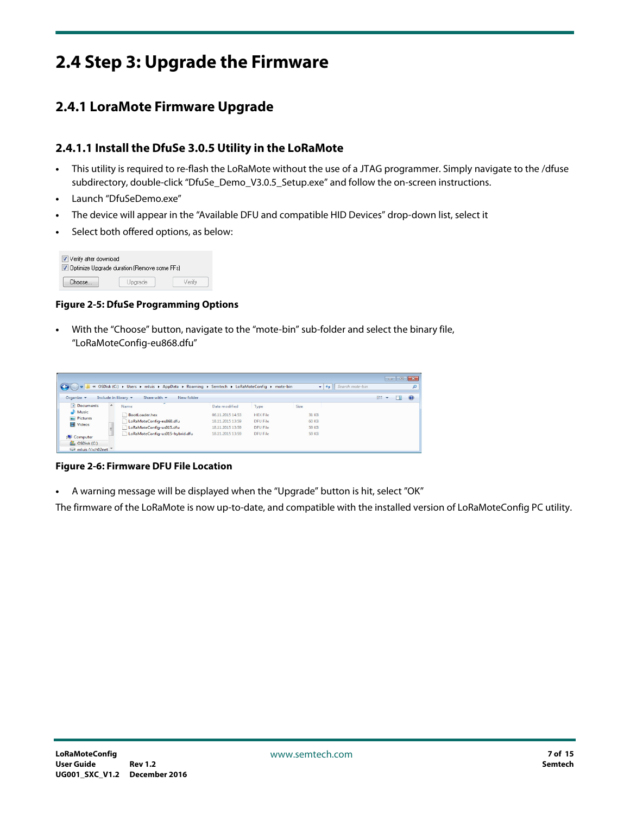## <span id="page-6-0"></span>**2.4 Step 3: Upgrade the Firmware**

### <span id="page-6-1"></span>**2.4.1 LoraMote Firmware Upgrade**

#### **2.4.1.1 Install the DfuSe 3.0.5 Utility in the LoRaMote**

- **•** This utility is required to re-flash the LoRaMote without the use of a JTAG programmer. Simply navigate to the /dfuse subdirectory, double-click "DfuSe\_Demo\_V3.0.5\_Setup.exe" and follow the on-screen instructions.
- **•** Launch "DfuSeDemo.exe"
- **•** The device will appear in the "Available DFU and compatible HID Devices" drop-down list, select it
- **•** Select both offered options, as below:



#### **Figure 2-5: DfuSe Programming Options**

**•** With the "Choose" button, navigate to the "mote-bin" sub-folder and select the binary file, "LoRaMoteConfig-eu868.dfu"

| $\epsilon\epsilon$             | OSDisk (C:) ▶ Users ▶ mluis ▶ AppData ▶ Roaming ▶ Semtech ▶ LoRaMoteConfig ▶ mote-bin |                  |                 | $-144$       | Search mote-bin |            |   |
|--------------------------------|---------------------------------------------------------------------------------------|------------------|-----------------|--------------|-----------------|------------|---|
| Organize -                     | Include in library<br>Share with ~<br>New folder                                      |                  |                 |              |                 | <b>BEE</b> | ⋒ |
| Documents                      | Name                                                                                  | Date modified    | Type            | Size         |                 |            |   |
| Music                          | BootLoader.hex                                                                        | 06.11.2015 14:53 | <b>HEX File</b> | 31 KB        |                 |            |   |
| $\blacktriangleright$ Pictures | LoRaMoteConfig-eu868.dfu                                                              | 18.11.2015 13:59 | DFU File        | <b>60 KB</b> |                 |            |   |
| Videos                         | LoRaMoteConfig-us915.dfu                                                              | 18.11.2015 13:59 | <b>DFU File</b> | <b>59 KB</b> |                 |            |   |
| Computer                       | LoRaMoteConfig-us915-hybrid.dfu                                                       | 18.11.2015 13:59 | DFU File        | <b>59 KB</b> |                 |            |   |
| <b>M</b> , OSDisk (C:)         |                                                                                       |                  |                 |              |                 |            |   |
| mluis (\\ch02net               |                                                                                       |                  |                 |              |                 |            |   |

**Figure 2-6: Firmware DFU File Location**

**•** A warning message will be displayed when the "Upgrade" button is hit, select "OK"

The firmware of the LoRaMote is now up-to-date, and compatible with the installed version of LoRaMoteConfig PC utility.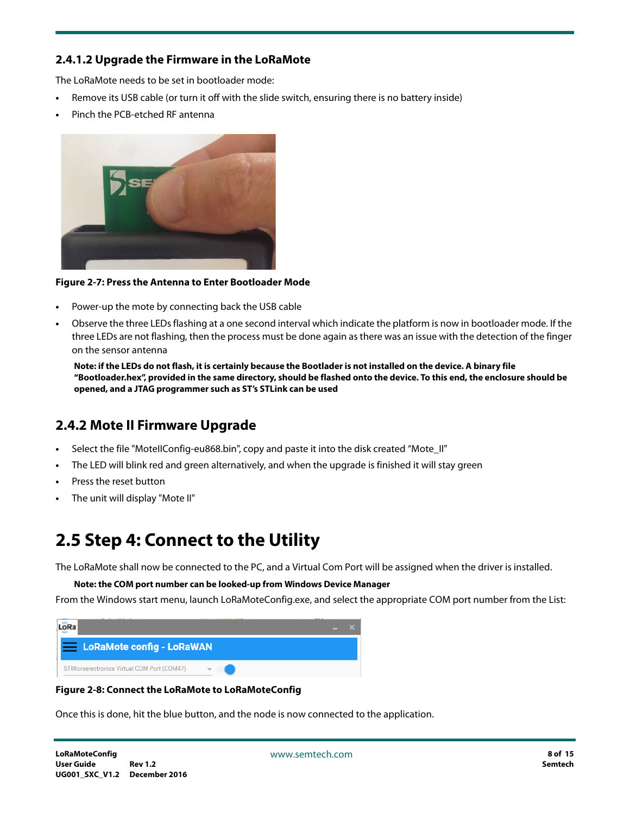#### **2.4.1.2 Upgrade the Firmware in the LoRaMote**

The LoRaMote needs to be set in bootloader mode:

- **•** Remove its USB cable (or turn it off with the slide switch, ensuring there is no battery inside)
- **•** Pinch the PCB-etched RF antenna



#### **Figure 2-7: Press the Antenna to Enter Bootloader Mode**

- **•** Power-up the mote by connecting back the USB cable
- **•** Observe the three LEDs flashing at a one second interval which indicate the platform is now in bootloader mode. If the three LEDs are not flashing, then the process must be done again as there was an issue with the detection of the finger on the sensor antenna

**Note: if the LEDs do not flash, it is certainly because the Bootlader is not installed on the device. A binary file "Bootloader.hex", provided in the same directory, should be flashed onto the device. To this end, the enclosure should be opened, and a JTAG programmer such as ST's STLink can be used**

### <span id="page-7-0"></span>**2.4.2 Mote II Firmware Upgrade**

- **•** Select the file "MoteIIConfig-eu868.bin", copy and paste it into the disk created "Mote\_II"
- **•** The LED will blink red and green alternatively, and when the upgrade is finished it will stay green
- **•** Press the reset button
- **•** The unit will display "Mote II"

## <span id="page-7-1"></span>**2.5 Step 4: Connect to the Utility**

The LoRaMote shall now be connected to the PC, and a Virtual Com Port will be assigned when the driver is installed.

**Note: the COM port number can be looked-up from Windows Device Manager**

From the Windows start menu, launch LoRaMoteConfig.exe, and select the appropriate COM port number from the List:



#### **Figure 2-8: Connect the LoRaMote to LoRaMoteConfig**

Once this is done, hit the blue button, and the node is now connected to the application.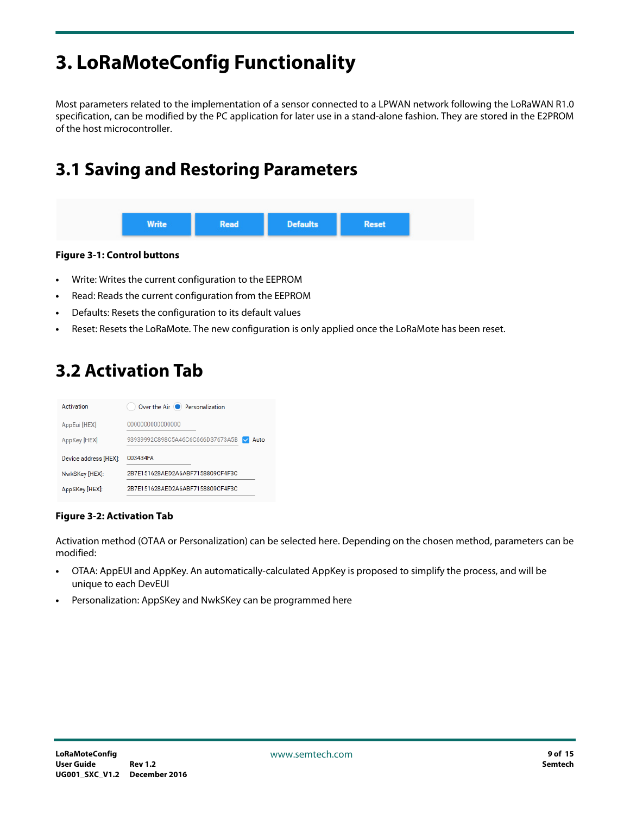# <span id="page-8-0"></span>**3. LoRaMoteConfig Functionality**

Most parameters related to the implementation of a sensor connected to a LPWAN network following the LoRaWAN R1.0 specification, can be modified by the PC application for later use in a stand-alone fashion. They are stored in the E2PROM of the host microcontroller.

## <span id="page-8-1"></span>**3.1 Saving and Restoring Parameters**



#### **Figure 3-1: Control buttons**

- **•** Write: Writes the current configuration to the EEPROM
- **•** Read: Reads the current configuration from the EEPROM
- **•** Defaults: Resets the configuration to its default values
- **•** Reset: Resets the LoRaMote. The new configuration is only applied once the LoRaMote has been reset.

### <span id="page-8-2"></span>**3.2 Activation Tab**

| Activation            | Over the Air (C) Personalization         |
|-----------------------|------------------------------------------|
| AppEui [HEX]          | 0000000000000000                         |
| AppKey [HEX]          | 93939992C898C5A46C6C666D37673A5B<br>Auto |
| Device address [HEX]: | 003434FA                                 |
|                       |                                          |
| NwkSKey [HEX]:        | 2B7F151628AFD2A6ABF7158809CF4F3C         |

#### **Figure 3-2: Activation Tab**

Activation method (OTAA or Personalization) can be selected here. Depending on the chosen method, parameters can be modified:

- **•** OTAA: AppEUI and AppKey. An automatically-calculated AppKey is proposed to simplify the process, and will be unique to each DevEUI
- **•** Personalization: AppSKey and NwkSKey can be programmed here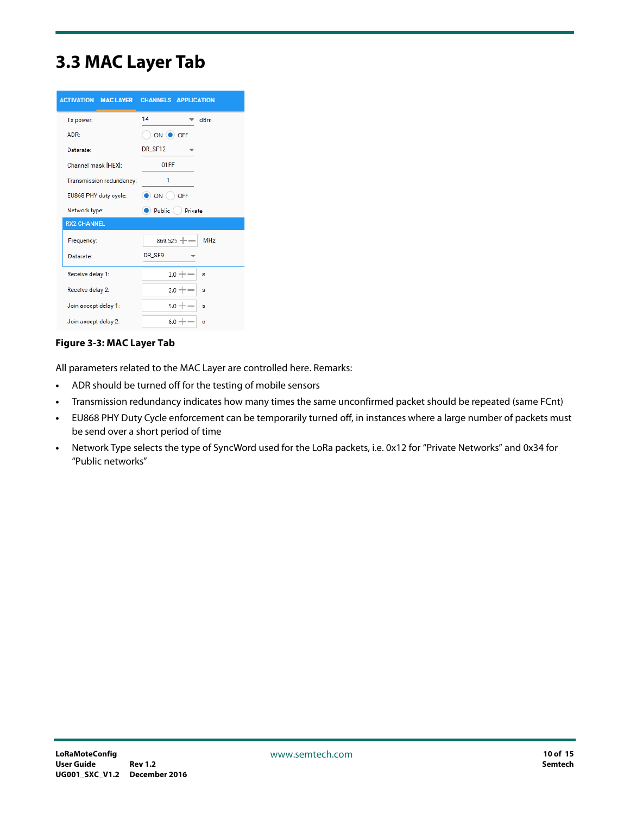### <span id="page-9-0"></span>**3.3 MAC Layer Tab**

| <b>ACTIVATION MAC LAYER</b> | <b>CHANNELS APPLICATION</b> |            |  |
|-----------------------------|-----------------------------|------------|--|
| Tx power:                   | 14                          | dBm        |  |
| ADR:                        | ON O OFF                    |            |  |
| Datarate:                   | DR SF12                     |            |  |
| Channel mask [HEX]:         | 01FF                        |            |  |
| Transmission redundancy:    | 1                           |            |  |
| EU868 PHY duty cycle:       | $\Box$ ON<br>OFF            |            |  |
| Network type:               | Public<br>Private           |            |  |
| <b>RX2 CHANNEL</b>          |                             |            |  |
| Frequency:                  | $869.525 + -$               | <b>MHz</b> |  |
| Datarate:                   | DR_SF9                      |            |  |
| Receive delay 1:            | $1.0 + -$                   | s          |  |
| Receive delay 2:            | $2.0 + -$                   | s          |  |
| Join accept delay 1:        | $5.0 + -$                   | s          |  |
| Join accept delay 2:        | $6.0 + -$                   | s          |  |

#### **Figure 3-3: MAC Layer Tab**

All parameters related to the MAC Layer are controlled here. Remarks:

- **•** ADR should be turned off for the testing of mobile sensors
- **•** Transmission redundancy indicates how many times the same unconfirmed packet should be repeated (same FCnt)
- **•** EU868 PHY Duty Cycle enforcement can be temporarily turned off, in instances where a large number of packets must be send over a short period of time
- **•** Network Type selects the type of SyncWord used for the LoRa packets, i.e. 0x12 for "Private Networks" and 0x34 for "Public networks"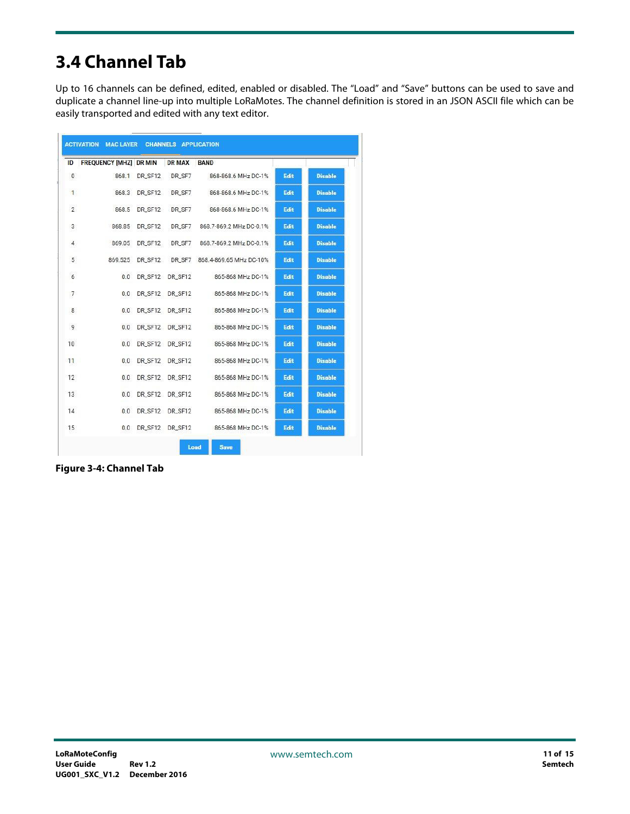# <span id="page-10-0"></span>**3.4 Channel Tab**

Up to 16 channels can be defined, edited, enabled or disabled. The "Load" and "Save" buttons can be used to save and duplicate a channel line-up into multiple LoRaMotes. The channel definition is stored in an JSON ASCII file which can be easily transported and edited with any text editor.

| ID             | <b>FREQUENCY [MHZ] DR MIN</b> |         | <b>DR MAX</b> | <b>BAND</b>             |      |                |
|----------------|-------------------------------|---------|---------------|-------------------------|------|----------------|
| 0              | 868.1                         | DR_SF12 | DR_SF7        | 868-868.6 MHz DC-1%     | Edit | <b>Disable</b> |
| $\mathbf{1}$   | 868.3                         | DR_SF12 | DR_SF7        | 868-868.6 MHz DC-1%     | Edit | <b>Disable</b> |
| $\overline{2}$ | 868.5                         | DR_SF12 | DR_SF7        | 868-868.6 MHz DC-1%     | Edit | <b>Disable</b> |
| 3              | 868.85                        | DR_SF12 | DR_SF7        | 868.7-869.2 MHz DC-0.1% | Edit | <b>Disable</b> |
| 4              | 869.05                        | DR_SF12 | DR_SF7        | 868.7-869.2 MHz DC-0.1% | Edit | <b>Disable</b> |
| 5              | 869.525                       | DR_SF12 | DR_SF7        | 868.4-869.65 MHz DC-10% | Edit | <b>Disable</b> |
| 6              | 0.0                           | DR SF12 | DR SF12       | 865-868 MHz DC-1%       | Edit | <b>Disable</b> |
| 7              | 0.0                           | DR_SF12 | DR_SF12       | 865-868 MHz DC-1%       | Edit | <b>Disable</b> |
| 8              | 0.0                           | DR SF12 | DR SF12       | 865-868 MHz DC-1%       | Edit | <b>Disable</b> |
| 9              | 0.0                           | DR_SF12 | DR_SF12       | 865-868 MHz DC-1%       | Edit | <b>Disable</b> |
| 10             | 0.0                           | DR_SF12 | DR_SF12       | 865-868 MHz DC-1%       | Edit | <b>Disable</b> |
| 11             | 0.0                           | DR_SF12 | DR_SF12       | 865-868 MHz DC-1%       | Edit | <b>Disable</b> |
| 12             | 0.0                           | DR_SF12 | DR_SF12       | 865-868 MHz DC-1%       | Edit | <b>Disable</b> |
| 13             | 0.0                           | DR SF12 | DR SF12       | 865-868 MHz DC-1%       | Edit | <b>Disable</b> |
| 14             | 0.0                           | DR_SF12 | DR_SF12       | 865-868 MHz DC-1%       | Edit | <b>Disable</b> |
| 15             | 0.0                           | DR_SF12 | DR_SF12       | 865-868 MHz DC-1%       | Edit | <b>Disable</b> |

**Figure 3-4: Channel Tab**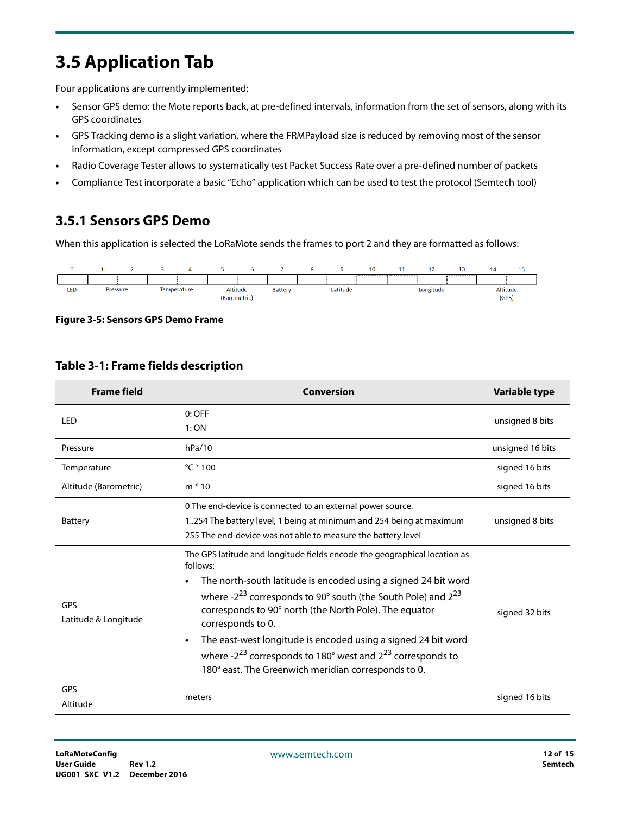## <span id="page-11-0"></span>**3.5 Application Tab**

Four applications are currently implemented:

- **•** Sensor GPS demo: the Mote reports back, at pre-defined intervals, information from the set of sensors, along with its GPS coordinates
- **•** GPS Tracking demo is a slight variation, where the FRMPayload size is reduced by removing most of the sensor information, except compressed GPS coordinates
- **•** Radio Coverage Tester allows to systematically test Packet Success Rate over a pre-defined number of packets
- **•** Compliance Test incorporate a basic "Echo" application which can be used to test the protocol (Semtech tool)

### <span id="page-11-1"></span>**3.5.1 Sensors GPS Demo**

When this application is selected the LoRaMote sends the frames to port 2 and they are formatted as follows:



**Figure 3-5: Sensors GPS Demo Frame**

| <b>Frame field</b>                 | Conversion                                                                                                                                                                                                                                                                                                                                                                                                                                                                                                                            | Variable type    |
|------------------------------------|---------------------------------------------------------------------------------------------------------------------------------------------------------------------------------------------------------------------------------------------------------------------------------------------------------------------------------------------------------------------------------------------------------------------------------------------------------------------------------------------------------------------------------------|------------------|
| LED                                | $0:$ OFF<br>1:ON                                                                                                                                                                                                                                                                                                                                                                                                                                                                                                                      | unsigned 8 bits  |
| Pressure                           | hPa/10                                                                                                                                                                                                                                                                                                                                                                                                                                                                                                                                | unsigned 16 bits |
| Temperature                        | $^{\circ}$ C * 100                                                                                                                                                                                                                                                                                                                                                                                                                                                                                                                    | signed 16 bits   |
| Altitude (Barometric)              | $m * 10$                                                                                                                                                                                                                                                                                                                                                                                                                                                                                                                              | signed 16 bits   |
| <b>Battery</b>                     | 0 The end-device is connected to an external power source.<br>1254 The battery level, 1 being at minimum and 254 being at maximum<br>255 The end-device was not able to measure the battery level                                                                                                                                                                                                                                                                                                                                     | unsigned 8 bits  |
| <b>GPS</b><br>Latitude & Longitude | The GPS latitude and longitude fields encode the geographical location as<br>follows:<br>The north-south latitude is encoded using a signed 24 bit word<br>where $-2^{23}$ corresponds to 90 $^{\circ}$ south (the South Pole) and $2^{23}$<br>corresponds to 90° north (the North Pole). The equator<br>corresponds to 0.<br>The east-west longitude is encoded using a signed 24 bit word<br>where - $2^{23}$ corresponds to 180 $^{\circ}$ west and $2^{23}$ corresponds to<br>180° east. The Greenwich meridian corresponds to 0. | signed 32 bits   |
| <b>GPS</b><br>Altitude             | meters                                                                                                                                                                                                                                                                                                                                                                                                                                                                                                                                | signed 16 bits   |

#### **Table 3-1: Frame fields description**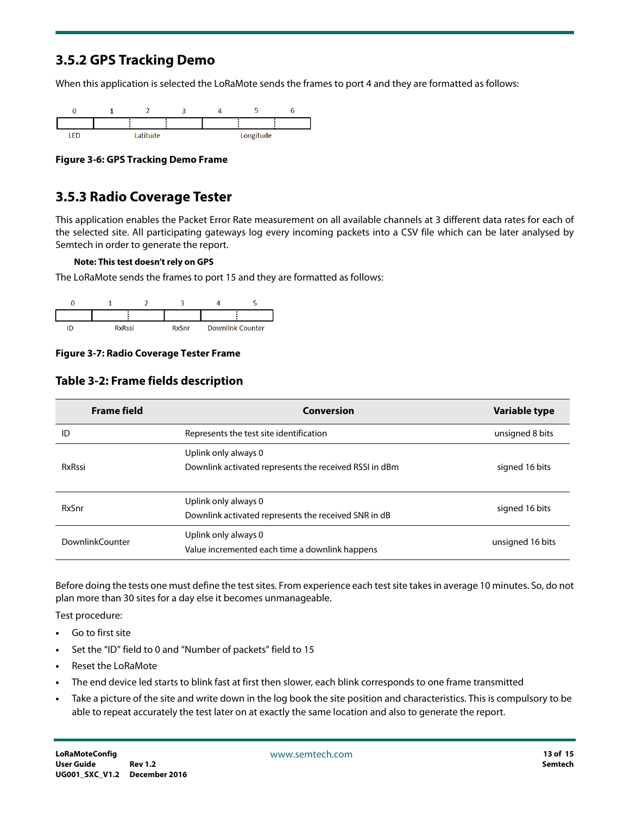### <span id="page-12-0"></span>**3.5.2 GPS Tracking Demo**

When this application is selected the LoRaMote sends the frames to port 4 and they are formatted as follows:



**Figure 3-6: GPS Tracking Demo Frame**

### <span id="page-12-1"></span>**3.5.3 Radio Coverage Tester**

This application enables the Packet Error Rate measurement on all available channels at 3 different data rates for each of the selected site. All participating gateways log every incoming packets into a CSV file which can be later analysed by Semtech in order to generate the report.

#### **Note: This test doesn't rely on GPS**

The LoRaMote sends the frames to port 15 and they are formatted as follows:



#### **Figure 3-7: Radio Coverage Tester Frame**

| <b>Frame field</b>     | Conversion                                                             | Variable type    |
|------------------------|------------------------------------------------------------------------|------------------|
| ID                     | Represents the test site identification                                | unsigned 8 bits  |
|                        | Uplink only always 0                                                   |                  |
| <b>RxRssi</b>          | Downlink activated represents the received RSSI in dBm                 | signed 16 bits   |
| RxSnr                  | Uplink only always 0                                                   | signed 16 bits   |
|                        | Downlink activated represents the received SNR in dB                   |                  |
| <b>DownlinkCounter</b> | Uplink only always 0<br>Value incremented each time a downlink happens | unsigned 16 bits |

Before doing the tests one must define the test sites. From experience each test site takes in average 10 minutes. So, do not plan more than 30 sites for a day else it becomes unmanageable.

Test procedure:

- **•** Go to first site
- **•** Set the "ID" field to 0 and "Number of packets" field to 15
- **•** Reset the LoRaMote
- **•** The end device led starts to blink fast at first then slower, each blink corresponds to one frame transmitted
- **•** Take a picture of the site and write down in the log book the site position and characteristics. This is compulsory to be able to repeat accurately the test later on at exactly the same location and also to generate the report.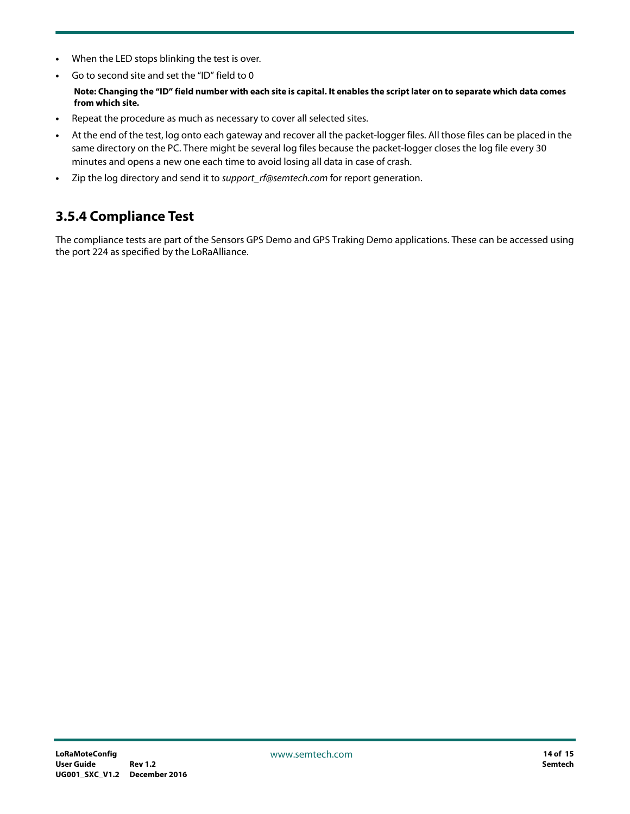- **•** When the LED stops blinking the test is over.
- **•** Go to second site and set the "ID" field to 0

#### **Note: Changing the "ID" field number with each site is capital. It enables the script later on to separate which data comes from which site.**

- **•** Repeat the procedure as much as necessary to cover all selected sites.
- **•** At the end of the test, log onto each gateway and recover all the packet-logger files. All those files can be placed in the same directory on the PC. There might be several log files because the packet-logger closes the log file every 30 minutes and opens a new one each time to avoid losing all data in case of crash.
- **•** Zip the log directory and send it to support\_rf@semtech.com for report generation.

### <span id="page-13-0"></span>**3.5.4 Compliance Test**

The compliance tests are part of the Sensors GPS Demo and GPS Traking Demo applications. These can be accessed using the port 224 as specified by the LoRaAlliance.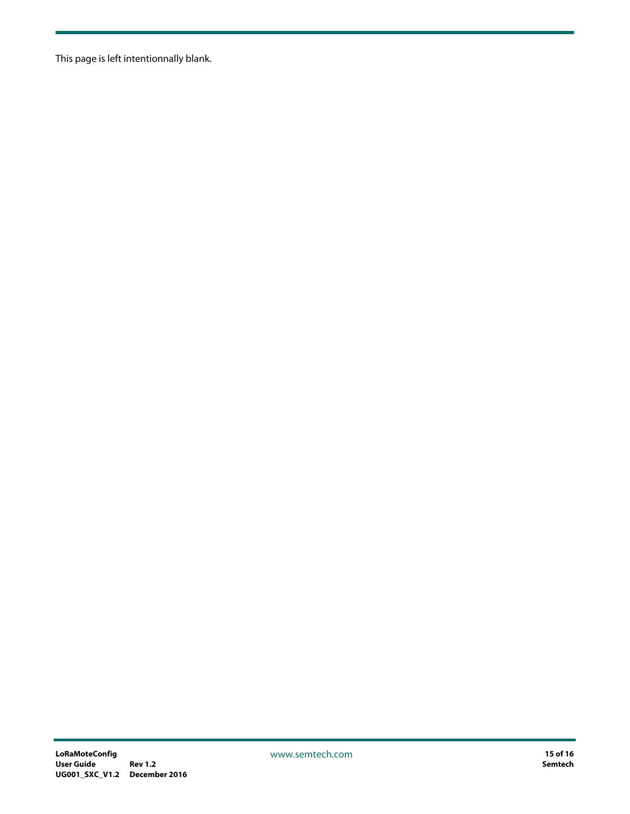This page is left intentionnally blank.